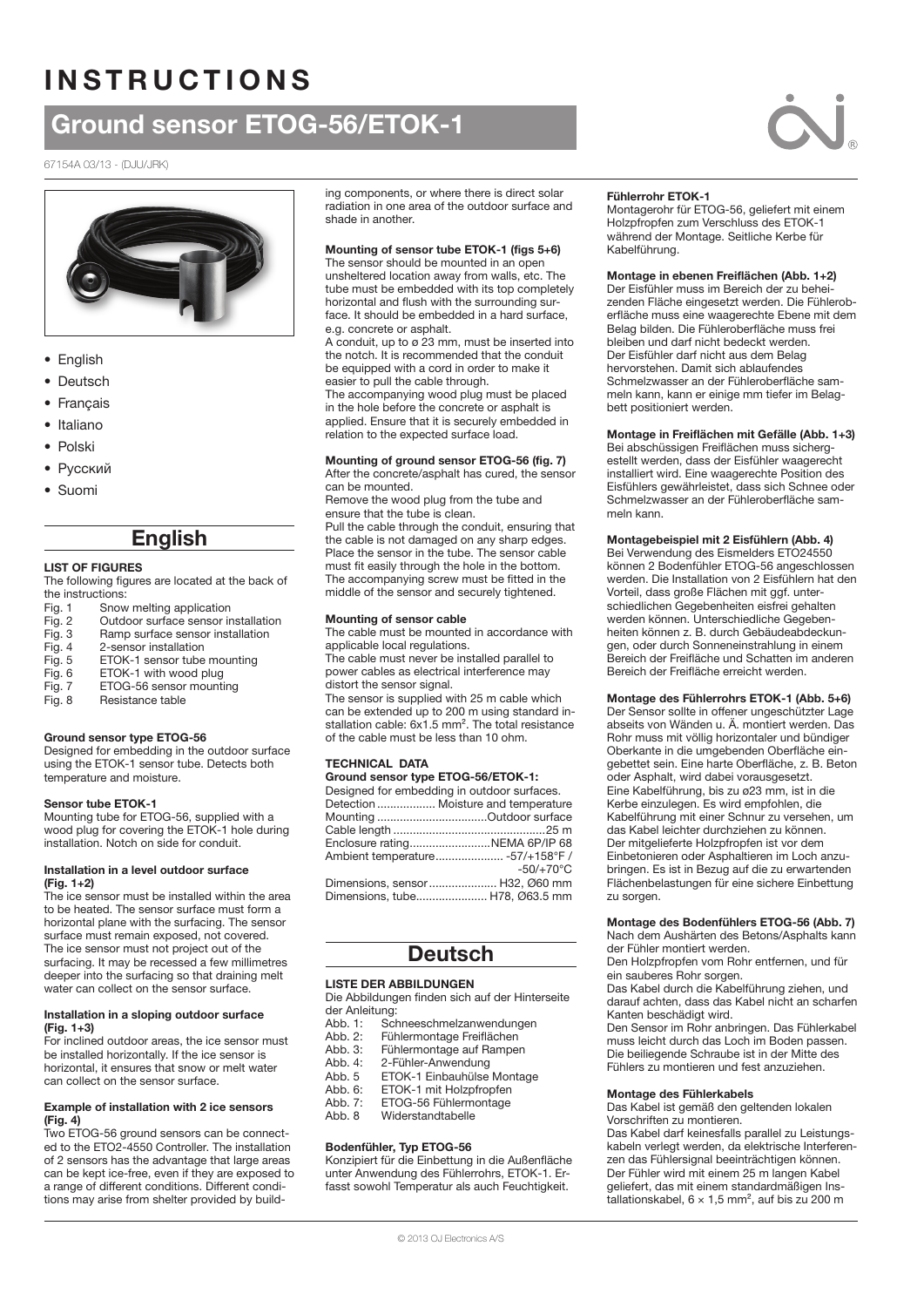# **INSTRUCTIONS**

# Ground sensor ETOG-56/ETOK-1

#### 67154A 03/13 - (DJU/JRK)



- English
- Deutsch
- Français
- Italiano
- Polski
- Русский
- Suomi

# English

#### LIST OF FIGURES

The following figures are located at the back of the instructions:

- Fig. 1 Snow melting application
- Fig. 2 Outdoor surface sensor installation<br>Fig. 3 Ramp surface sensor installation
- Ramp surface sensor installation
- Fig. 4 2-sensor installation
- Fig. 5 ETOK-1 sensor tube mounting<br>Fig. 6 ETOK-1 with wood plug
- Fig. 6 ETOK-1 with wood plug<br>Fig. 7 ETOG-56 sensor mounti
- ETOG-56 sensor mounting
- Fig. 8 Resistance table

### Ground sensor type ETOG-56

Designed for embedding in the outdoor surface using the ETOK-1 sensor tube. Detects both temperature and moisture.

#### Sensor tube ETOK-1

Mounting tube for ETOG-56, supplied with a wood plug for covering the ETOK-1 hole during installation. Notch on side for conduit.

#### Installation in a level outdoor surface (Fig. 1+2)

The ice sensor must be installed within the area to be heated. The sensor surface must form a horizontal plane with the surfacing. The sensor surface must remain exposed, not covered. The ice sensor must not project out of the surfacing. It may be recessed a few millimetres deeper into the surfacing so that draining melt water can collect on the sensor surface.

#### Installation in a sloping outdoor surface (Fig. 1+3)

For inclined outdoor areas, the ice sensor must be installed horizontally. If the ice sensor is horizontal, it ensures that snow or melt water can collect on the sensor surface.

#### Example of installation with 2 ice sensors  $(Fia, 4)$

Two ETOG-56 ground sensors can be connected to the ETO2-4550 Controller. The installation of 2 sensors has the advantage that large areas can be kept ice-free, even if they are exposed to a range of different conditions. Different conditions may arise from shelter provided by build-

ing components, or where there is direct solar radiation in one area of the outdoor surface and shade in another.

#### Mounting of sensor tube ETOK-1 (figs 5+6)

The sensor should be mounted in an open unsheltered location away from walls, etc. The tube must be embedded with its top completely horizontal and flush with the surrounding surface. It should be embedded in a hard surface, e.g. concrete or asphalt.

A conduit, up to ø 23 mm, must be inserted into the notch. It is recommended that the conduit be equipped with a cord in order to make it easier to pull the cable through.

The accompanying wood plug must be placed in the hole before the concrete or asphalt is applied. Ensure that it is securely embedded in relation to the expected surface load.

# Mounting of ground sensor ETOG-56 (fig. 7)

#### After the concrete/asphalt has cured, the sensor can be mounted.

Remove the wood plug from the tube and ensure that the tube is clean.

Pull the cable through the conduit, ensuring that the cable is not damaged on any sharp edges. Place the sensor in the tube. The sensor cable must fit easily through the hole in the bottom. The accompanying screw must be fitted in the middle of the sensor and securely tightened.

#### Mounting of sensor cable

The cable must be mounted in accordance with applicable local regulations.

The cable must never be installed parallel to power cables as electrical interference may distort the sensor signal.

The sensor is supplied with 25 m cable which can be extended up to 200 m using standard installation cable: 6x1.5 mm<sup>2</sup>. The total resistance of the cable must be less than 10 ohm.

#### **TECHNICAL DATA**

| Ground sensor type ETOG-56/ETOK-1:          |             |  |  |
|---------------------------------------------|-------------|--|--|
| Designed for embedding in outdoor surfaces. |             |  |  |
| Detection  Moisture and temperature         |             |  |  |
|                                             |             |  |  |
|                                             |             |  |  |
| Enclosure ratingNEMA 6P/IP 68               |             |  |  |
| Ambient temperature -57/+158°F /            |             |  |  |
|                                             | $-50/+70°C$ |  |  |
| Dimensions, sensor H32, Ø60 mm              |             |  |  |
| Dimensions, tube H78, Ø63.5 mm              |             |  |  |
|                                             |             |  |  |

# **Deutsch**

### LISTE DER ABBILDUNGEN

Die Abbildungen finden sich auf der Hinterseite der Anleitung:

- Abb. 1: Schneeschmelzanwendungen<br>Abb. 2: Fühlermontage Freiflächen
- Abb. 2: Fühlermontage Freiflächen<br>Abb. 3: Fühlermontage auf Rampe
- Abb. 3: Fühlermontage auf Rampen<br>Abb. 4: 2-Fühler-Anwendung
- Abb. 4: 2-Fühler-Anwendung<br>Abb. 5 ETOK-1 Einbauhülse
- Abb. 5 ETOK-1 Einbauhülse Montage<br>Abb. 6: ETOK-1 mit Holzpfropfen
- Abb. 6: ETOK-1 mit Holzpfropfen<br>Abb. 7: ETOG-56 Fühlermontage
- Abb. 7: ETOG-56 Fühlermontage<br>Abb. 8 Widerstandtabelle
- Widerstandtabelle

# Bodenfühler, Typ ETOG-56

Konzipiert für die Einbettung in die Außenfläche unter Anwendung des Fühlerrohrs, ETOK-1. Erfasst sowohl Temperatur als auch Feuchtigkeit.

# Fühlerrohr ETOK-1

Montagerohr für ETOG-56, geliefert mit einem Holzpfropfen zum Verschluss des ETOK-1 während der Montage. Seitliche Kerbe für Kabelführung.

#### Montage in ebenen Freiflächen (Abb. 1+2)

Der Eisfühler muss im Bereich der zu beheizenden Fläche eingesetzt werden. Die Fühleroberfläche muss eine waagerechte Ebene mit dem Belag bilden. Die Fühleroberfläche muss frei bleiben und darf nicht bedeckt werden. Der Eisfühler darf nicht aus dem Belag hervorstehen. Damit sich ablaufendes Schmelzwasser an der Fühleroberfläche sammeln kann, kann er einige mm tiefer im Belagbett positioniert werden.

#### Montage in Freiflächen mit Gefälle (Abb. 1+3)

Bei abschüssigen Freiflächen muss sichergestellt werden, dass der Eisfühler waagerecht installiert wird. Eine waagerechte Position des Eisfühlers gewährleistet, dass sich Schnee oder Schmelzwasser an der Fühleroberfläche sammeln kann.

### Montagebeispiel mit 2 Eisfühlern (Abb. 4)

Bei Verwendung des Eismelders ETO24550 können 2 Bodenfühler ETOG-56 angeschlossen werden. Die Installation von 2 Eisfühlern hat den Vorteil, dass große Flächen mit ggf. unterschiedlichen Gegebenheiten eisfrei gehalten werden können. Unterschiedliche Gegebenheiten können z. B. durch Gebäudeabdeckungen, oder durch Sonneneinstrahlung in einem Bereich der Freifläche und Schatten im anderen Bereich der Freifläche erreicht werden.

#### Montage des Fühlerrohrs ETOK-1 (Abb. 5+6)

Der Sensor sollte in offener ungeschützter Lage abseits von Wänden u. Ä. montiert werden. Das Rohr muss mit völlig horizontaler und bündiger Oberkante in die umgebenden Oberfläche eingebettet sein. Eine harte Oberfläche, z. B. Beton oder Asphalt, wird dabei vorausgesetzt. Eine Kabelführung, bis zu ø23 mm, ist in die Kerbe einzulegen. Es wird empfohlen, die Kabelführung mit einer Schnur zu versehen, um das Kabel leichter durchziehen zu können. Der mitgelieferte Holzpfropfen ist vor dem Einbetonieren oder Asphaltieren im Loch anzubringen. Es ist in Bezug auf die zu erwartenden Flächenbelastungen für eine sichere Einbettung zu sorgen.

### Montage des Bodenfühlers ETOG-56 (Abb. 7)

Nach dem Aushärten des Betons/Asphalts kann der Fühler montiert werden. Den Holzpfropfen vom Rohr entfernen, und für

ein sauberes Rohr sorgen.

Das Kabel durch die Kabelführung ziehen, und darauf achten, dass das Kabel nicht an scharfen Kanten beschädigt wird.

Den Sensor im Rohr anbringen. Das Fühlerkabel muss leicht durch das Loch im Boden passen. Die beiliegende Schraube ist in der Mitte des Fühlers zu montieren und fest anzuziehen.

#### Montage des Fühlerkabels

Das Kabel ist gemäß den geltenden lokalen Vorschriften zu montieren.

Das Kabel darf keinesfalls parallel zu Leistungskabeln verlegt werden, da elektrische Interferenzen das Fühlersignal beeinträchtigen können. Der Fühler wird mit einem 25 m langen Kabel geliefert, das mit einem standardmäßigen Installationskabel,  $6 \times 1.5$  mm<sup>2</sup>, auf bis zu 200 m

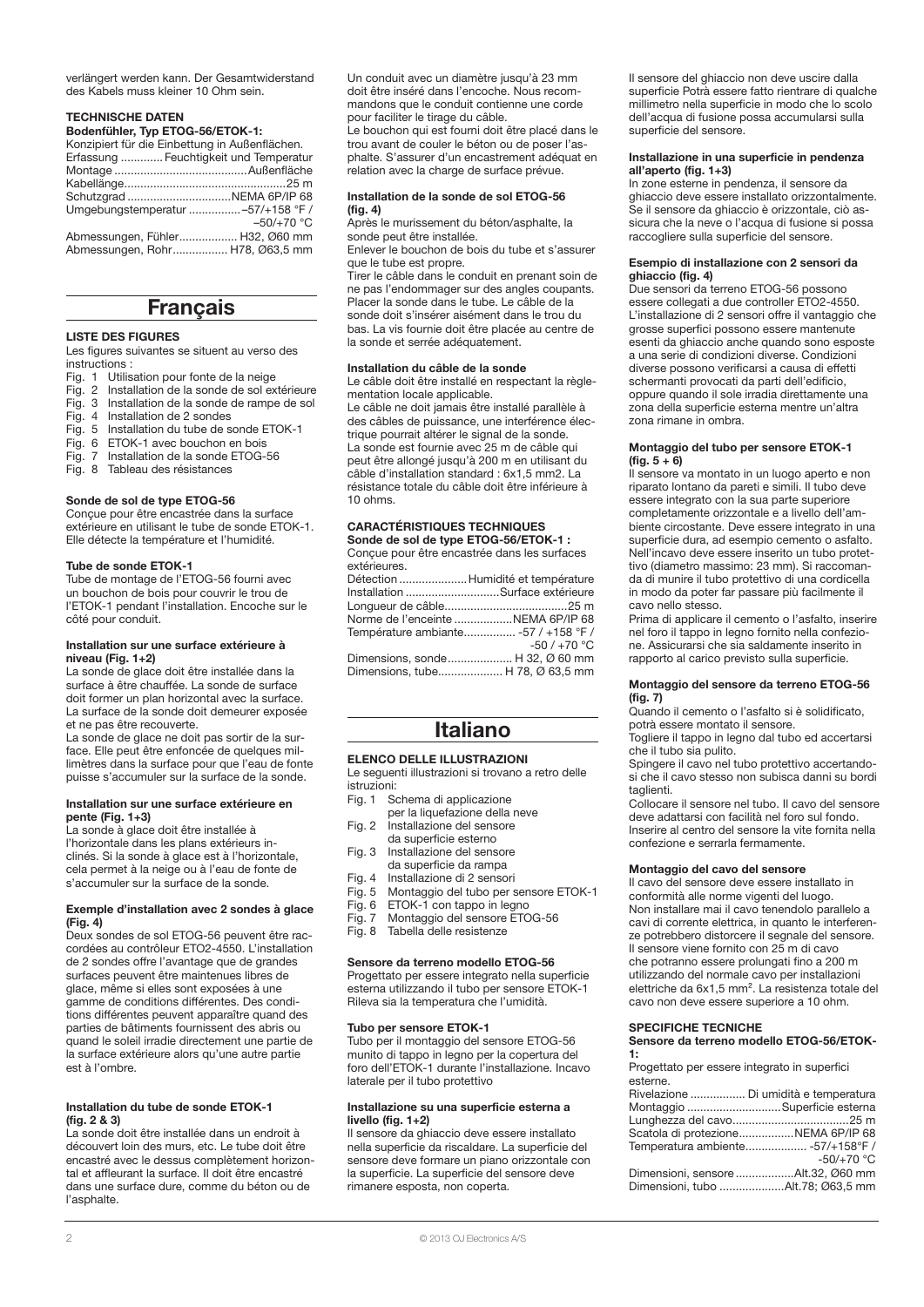verlängert werden kann. Der Gesamtwiderstand des Kabels muss kleiner 10 Ohm sein.

#### Technische Daten

Bodenfühler, Typ ETOG-56/ETOK-1: Konzipiert für die Einbettung in Außenflächen.

| Erfassung  Feuchtigkeit und Temperatur |
|----------------------------------------|
|                                        |
|                                        |
|                                        |
| Umgebungstemperatur -57/+158 °F /      |
| $-50/+70 °C$                           |
| Abmessungen, Fühler H32, Ø60 mm        |
| Abmessungen, Rohr H78, Ø63,5 mm        |

# **Français**

#### LISTE DES FIGURES

Les figures suivantes se situent au verso des instructions :

- Fig. 1 Utilisation pour fonte de la neige
- Fig. 2 Installation de la sonde de sol extérieure<br>Fig. 3 Installation de la sonde de rampe de sol
- Installation de la sonde de rampe de sol
- Fig. 4 Installation de 2 sondes<br>Fig. 5 Installation du tube de se
- Installation du tube de sonde ETOK-1
- Fig. 6 ETOK-1 avec bouchon en bois<br>Fig. 7 Installation de la sonde ETOG-Installation de la sonde ETOG-56
- Fig. 8 Tableau des résistances

#### Sonde de sol de type ETOG-56

Conçue pour être encastrée dans la surface extérieure en utilisant le tube de sonde ETOK-1. Elle détecte la température et l'humidité.

#### Tube de sonde ETOK-1

Tube de montage de l'ETOG-56 fourni avec un bouchon de bois pour couvrir le trou de l'ETOK-1 pendant l'installation. Encoche sur le côté pour conduit.

#### Installation sur une surface extérieure à niveau (Fig. 1+2)

La sonde de glace doit être installée dans la surface à être chauffée. La sonde de surface doit former un plan horizontal avec la surface. La surface de la sonde doit demeurer exposée et ne pas être recouverte.

La sonde de glace ne doit pas sortir de la surface. Elle peut être enfoncée de quelques millimètres dans la surface pour que l'eau de fonte puisse s'accumuler sur la surface de la sonde.

#### Installation sur une surface extérieure en pente (Fig. 1+3)

La sonde à glace doit être installée à l'horizontale dans les plans extérieurs inclinés. Si la sonde à glace est à l'horizontale, cela permet à la neige ou à l'eau de fonte de s'accumuler sur la surface de la sonde.

#### Exemple d'installation avec 2 sondes à glace (Fig. 4)

Deux sondes de sol ETOG-56 peuvent être raccordées au contrôleur ETO2-4550. L'installation de 2 sondes offre l'avantage que de grandes surfaces peuvent être maintenues libres de glace, même si elles sont exposées à une gamme de conditions différentes. Des conditions différentes peuvent apparaître quand des parties de bâtiments fournissent des abris ou quand le soleil irradie directement une partie de la surface extérieure alors qu'une autre partie est à l'ombre.

#### Installation du tube de sonde ETOK-1 (fig. 2 & 3)

La sonde doit être installée dans un endroit à découvert loin des murs, etc. Le tube doit être encastré avec le dessus complètement horizontal et affleurant la surface. Il doit être encastré dans une surface dure, comme du béton ou de l'asphalte.

Un conduit avec un diamètre jusqu'à 23 mm doit être inséré dans l'encoche. Nous recommandons que le conduit contienne une corde pour faciliter le tirage du câble.

Le bouchon qui est fourni doit être placé dans le trou avant de couler le béton ou de poser l'asphalte. S'assurer d'un encastrement adéquat en relation avec la charge de surface prévue.

#### Installation de la sonde de sol ETOG-56 (fig. 4)

Après le murissement du béton/asphalte, la sonde peut être installée.

Enlever le bouchon de bois du tube et s'assurer que le tube est propre.

Tirer le câble dans le conduit en prenant soin de ne pas l'endommager sur des angles coupants. Placer la sonde dans le tube. Le câble de la sonde doit s'insérer aisément dans le trou du bas. La vis fournie doit être placée au centre de la sonde et serrée adéquatement.

#### Installation du câble de la sonde

Le câble doit être installé en respectant la règlementation locale applicable.

Le câble ne doit jamais être installé parallèle à des câbles de puissance, une interférence électrique pourrait altérer le signal de la sonde. La sonde est fournie avec 25 m de câble qui peut être allongé jusqu'à 200 m en utilisant du câble d'installation standard : 6x1,5 mm2. La résistance totale du câble doit être inférieure à 10 ohms.

#### Caractéristiques techniques Sonde de sol de type ETOG-56/ETOK-1 :

Conçue pour être encastrée dans les surfaces extérieures.<br>Détection Détection .....................Humidité et température

| Installation Surface extérieure      |              |
|--------------------------------------|--------------|
|                                      |              |
| Norme de l'enceinte NEMA 6P/IP 68    |              |
| Température ambiante -57 / +158 °F / |              |
|                                      | $-50/+70 °C$ |
| Dimensions, sonde H 32, Ø 60 mm      |              |
| Dimensions, tube H 78, Ø 63,5 mm     |              |
|                                      |              |

# Italiano

# ELENCO DELLE ILLUSTRAZIONI

Le seguenti illustrazioni si trovano a retro delle istruzioni:

- Fig. 1 Schema di applicazione
- per la liquefazione della neve Fig. 2 Installazione del sensore
- da superficie esterno
- Fig. 3 Installazione del sensore da superficie da rampa
- 
- Fig. 4 Installazione di 2 sensori<br>Fig. 5 Montaggio del tubo per s
- Fig. 5 Montaggio del tubo per sensore ETOK-1<br>Fig. 6 ETOK-1 con tappo in legno Fig. 6 ETOK-1 con tappo in legno<br>Fig. 7 Montaggio del sensore ETC
- Montaggio del sensore ETOG-56
- Fig. 8 Tabella delle resistenze

#### Sensore da terreno modello ETOG-56

Progettato per essere integrato nella superficie esterna utilizzando il tubo per sensore ETOK-1 Rileva sia la temperatura che l'umidità.

#### Tubo per sensore ETOK-1

Tubo per il montaggio del sensore ETOG-56 munito di tappo in legno per la copertura del foro dell'ETOK-1 durante l'installazione. Incavo laterale per il tubo protettivo

#### Installazione su una superficie esterna a livello (fig. 1+2)

Il sensore da ghiaccio deve essere installato nella superficie da riscaldare. La superficie del sensore deve formare un piano orizzontale con la superficie. La superficie del sensore deve rimanere esposta, non coperta.

Il sensore del ghiaccio non deve uscire dalla superficie Potrà essere fatto rientrare di qualche millimetro nella superficie in modo che lo scolo dell'acqua di fusione possa accumularsi sulla superficie del sensore.

#### Installazione in una superficie in pendenza all'aperto (fig. 1+3)

In zone esterne in pendenza, il sensore da ghiaccio deve essere installato orizzontalmente. Se il sensore da ghiaccio è orizzontale, ciò assicura che la neve o l'acqua di fusione si possa raccogliere sulla superficie del sensore.

#### Esempio di installazione con 2 sensori da ghiaccio (fig. 4)

Due sensori da terreno ETOG-56 possono essere collegati a due controller ETO2-4550. L'installazione di 2 sensori offre il vantaggio che grosse superfici possono essere mantenute esenti da ghiaccio anche quando sono esposte a una serie di condizioni diverse. Condizioni diverse possono verificarsi a causa di effetti schermanti provocati da parti dell'edificio, oppure quando il sole irradia direttamente una zona della superficie esterna mentre un'altra zona rimane in ombra.

#### Montaggio del tubo per sensore ETOK-1  $(fig. 5 + 6)$

Il sensore va montato in un luogo aperto e non riparato lontano da pareti e simili. Il tubo deve essere integrato con la sua parte superiore completamente orizzontale e a livello dell'ambiente circostante. Deve essere integrato in una superficie dura, ad esempio cemento o asfalto. Nell'incavo deve essere inserito un tubo protettivo (diametro massimo: 23 mm). Si raccomanda di munire il tubo protettivo di una cordicella in modo da poter far passare più facilmente il cavo nello stesso.

Prima di applicare il cemento o l'asfalto, inserire nel foro il tappo in legno fornito nella confezione. Assicurarsi che sia saldamente inserito in rapporto al carico previsto sulla superficie.

#### Montaggio del sensore da terreno ETOG-56 (fig. 7)

Quando il cemento o l'asfalto si è solidificato, potrà essere montato il sensore.

Togliere il tappo in legno dal tubo ed accertarsi che il tubo sia pulito.

Spingere il cavo nel tubo protettivo accertandosi che il cavo stesso non subisca danni su bordi taglienti.

Collocare il sensore nel tubo. Il cavo del sensore deve adattarsi con facilità nel foro sul fondo. Inserire al centro del sensore la vite fornita nella confezione e serrarla fermamente.

#### Montaggio del cavo del sensore

Il cavo del sensore deve essere installato in conformità alle norme vigenti del luogo. Non installare mai il cavo tenendolo parallelo a cavi di corrente elettrica, in quanto le interferenze potrebbero distorcere il segnale del sensore. Il sensore viene fornito con 25 m di cavo che potranno essere prolungati fino a 200 m utilizzando del normale cavo per installazioni elettriche da 6x1,5 mm². La resistenza totale del cavo non deve essere superiore a 10 ohm.

# Specifiche tecniche

Sensore da terreno modello ETOG-56/ETOK-1:

|          |  | Progettato per essere integrato in superfici |  |  |  |
|----------|--|----------------------------------------------|--|--|--|
| esterne. |  |                                              |  |  |  |
|          |  |                                              |  |  |  |

| Rivelazione  Di umidità e temperatura |
|---------------------------------------|
| Montaggio Superficie esterna          |
|                                       |
| Scatola di protezioneNEMA 6P/IP 68    |
| Temperatura ambiente -57/+158°F /     |
| $-50/+70$ °C                          |
| Dimensioni, sensore Alt.32, Ø60 mm    |
| Dimensioni, tubo Alt.78; Ø63,5 mm     |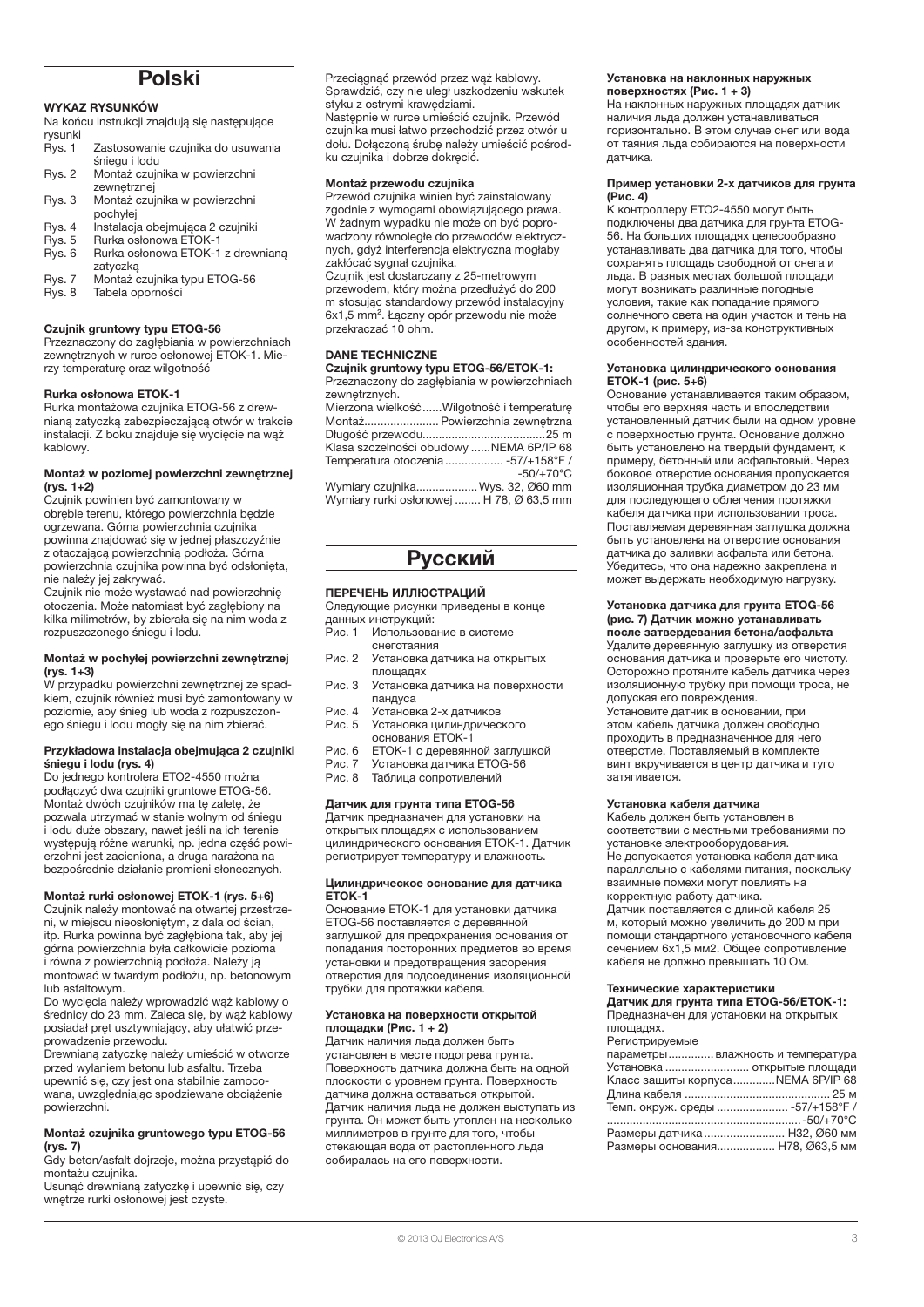# Polski

#### WYKAZ RYSUNKÓW

- Na końcu instrukcji znajdują się następujące
- rysunki<br>Rys. 1 Zastosowanie czujnika do usuwania śniegu i lodu
- Rys. 2 Montaż czujnika w powierzchni
- zewnętrznej Rys. 3 Montaż czujnika w powierzchni pochyłej
- 
- Rys. 4 Instalacja obejmująca 2 czujniki<br>Rys. 5 Rurka osłonowa ETOK-1 Rys. 5 Rurka osłonowa ETOK-1<br>Rys. 6 Rurka osłonowa ETOK-1
- Rys. 6 Rurka osłonowa ETOK-1 z drewnianą zatyczką
- Rys. 7 Montaż czujnika typu ETOG-56
- Tabela oporności

# Czujnik gruntowy typu ETOG-56

Przeznaczony do zagłębiania w powierzchniach zewnętrznych w rurce osłonowej ETOK-1. Mierzy temperaturę oraz wilgotność

#### Rurka osłonowa ETOK-1

Rurka montażowa czujnika ETOG-56 z drewnianą zatyczką zabezpieczającą otwór w trakcie instalacji. Z boku znajduje się wycięcie na wąż kablowy.

#### Montaż w poziomej powierzchni zewnętrznej (rys. 1+2)

Czujnik powinien być zamontowany w obrębie terenu, którego powierzchnia będzie ogrzewana. Górna powierzchnia czujnika powinna znajdować się w jednej płaszczyźnie z otaczającą powierzchnią podłoża. Górna powierzchnia czujnika powinna być odsłonięta, nie należy jej zakrywać.

Czujnik nie może wystawać nad powierzchnię otoczenia. Może natomiast być zagłębiony na kilka milimetrów, by zbierała się na nim woda z rozpuszczonego śniegu i lodu.

#### Montaż w pochyłej powierzchni zewnętrznej (rys. 1+3)

W przypadku powierzchni zewnętrznej ze spadkiem, czujnik również musi być zamontowany w poziomie, aby śnieg lub woda z rozpuszczonego śniegu i lodu mogły się na nim zbierać.

#### Przykładowa instalacja obejmująca 2 czujniki śniegu i lodu (rys. 4)

Do jednego kontrolera ETO2-4550 można podłączyć dwa czujniki gruntowe ETOG-56. Montaż dwóch czujników ma tę zaletę, że pozwala utrzymać w stanie wolnym od śniegu i lodu duże obszary, nawet jeśli na ich terenie występują różne warunki, np. jedna część powierzchni jest zacieniona, a druga narażona na bezpośrednie działanie promieni słonecznych.

### Montaż rurki osłonowej ETOK-1 (rys. 5+6)

Czujnik należy montować na otwartej przestrzeni, w miejscu nieosłoniętym, z dala od ścian, itp. Rurka powinna być zagłębiona tak, aby jej górna powierzchnia była całkowicie pozioma i równa z powierzchnią podłoża. Należy ją montować w twardym podłożu, np. betonowym lub asfaltowym.

Do wycięcia należy wprowadzić wąż kablowy o średnicy do 23 mm. Zaleca się, by wąż kablowy posiadał pręt usztywniający, aby ułatwić przeprowadzenie przewodu.

Drewnianą zatyczkę należy umieścić w otworze przed wylaniem betonu lub asfaltu. Trzeba upewnić się, czy jest ona stabilnie zamocowana, uwzględniając spodziewane obciążenie powierzchni.

#### Montaż czujnika gruntowego typu ETOG-56 (rys. 7)

Gdy beton/asfalt dojrzeje, można przystąpić do montażu czujnika.

Usunąć drewnianą zatyczkę i upewnić się, czy wnętrze rurki osłonowej jest czyste.

Przeciągnąć przewód przez wąż kablowy. Sprawdzić, czy nie uległ uszkodzeniu wskutek styku z ostrymi krawędziami.

Następnie w rurce umieścić czujnik. Przewód czujnika musi łatwo przechodzić przez otwór u dołu. Dołączoną śrubę należy umieścić pośrodku czujnika i dobrze dokręcić.

#### Montaż przewodu czujnika

Przewód czujnika winien być zainstalowany zgodnie z wymogami obowiązującego prawa. W żadnym wypadku nie może on być poprowadzony równoległe do przewodów elektrycznych, gdyż interferencja elektryczna mogłaby zakłócać sygnał czujnika.

Czujnik jest dostarczany z 25-metrowym przewodem, który można przedłużyć do 200 m stosując standardowy przewód instalacyjny 6x1,5 mm². Łączny opór przewodu nie może przekraczać 10 ohm.

#### Dane techniczne

Czujnik gruntowy typu ETOG-56/ETOK-1: Przeznaczony do zagłębiania w powierzchniach zewnętrznych.

| __ |                                             |
|----|---------------------------------------------|
|    | Mierzona wielkość  Wilgotność i temperature |
|    | Montaż Powierzchnia zewnętrzna              |
|    |                                             |
|    | Klasa szczelności obudowy NEMA 6P/IP 68     |
|    | Temperatura otoczenia  -57/+158°F /         |
|    | $-50/+70°C$                                 |
|    | Wymiary czujnikaWys. 32, Ø60 mm             |
|    |                                             |

Wymiary rurki osłonowej ........ H 78, Ø 63,5 mm

# Русский

# ПЕРЕЧЕНЬ ИЛЛЮСТРАЦИЙ

Следующие рисунки приведены в конце данных инструкций:<br>Рис. 1 Использова

- Использование в системе снеготаяния
- Рис. 2 Установка датчика на открытых площадях
- Рис. 3 Установка датчика на поверхности пандуса
- Рис. 4 Установка 2-х датчиков Установка цилиндрического
- основания ЕТОК-1
- Рис. 6 ETOK-1 с деревянной заглушкой Рис. 7 Установка датчика ETOG-56
- Рис. 8 Таблица сопротивлений

# Датчик для грунта типа ETOG-56

Датчик предназначен для установки на открытых площадях с использованием цилиндрического основания ETOK-1. Датчик регистрирует температуру и влажность.

#### Цилиндрическое основание для датчика ETOK-1

Основание ETOK-1 для установки датчика ETOG-56 поставляется с деревянной заглушкой для предохранения основания от попадания посторонних предметов во время установки и предотвращения засорения отверстия для подсоединения изоляционной трубки для протяжки кабеля.

#### Установка на поверхности открытой площадки (Рис. 1 + 2)

Датчик наличия льда должен быть установлен в месте подогрева грунта. Поверхность датчика должна быть на одной плоскости с уровнем грунта. Поверхность датчика должна оставаться открытой. ..<br>Датчик наличия льда не должен выступать из грунта. Он может быть утоплен на несколько миллиметров в грунте для того, чтобы стекающая вода от растопленного льда собиралась на его поверхности.

#### Установка на наклонных наружных поверхностях (Рис. 1 + 3)

На наклонных наружных площадях датчик наличия льда должен устанавливаться горизонтально. В этом случае снег или вода от таяния льда собираются на поверхности датчика.

#### Пример установки 2-х датчиков для грунта (Рис. 4)

К контроллеру ETO2-4550 могут быть подключены два датчика для грунта ETOG-56. На больших площадях целесообразно устанавливать два датчика для того, чтобы сохранять площадь свободной от снега и льда. В разных местах большой площади могут возникать различные погодные условия, такие как попадание прямого солнечного света на один участок и тень на другом, к примеру, из-за конструктивных особенностей здания.

#### Установка цилиндрического основания ETOK-1 (рис. 5+6)

Основание устанавливается таким образом, чтобы его верхняя часть и впоследствии установленный датчик были на одном уровне с поверхностью грунта. Основание должно быть установлено на твердый фундамент, к примеру, бетонный или асфальтовый. Через боковое отверстие основания пропускается изоляционная трубка диаметром до 23 мм для последующего облегчения протяжки кабеля датчика при использовании троса. Поставляемая деревянная заглушка должна быть установлена на отверстие основания датчика до заливки асфальта или бетона. .<br>Убедитесь, что она надежно закреплена и может выдержать необходимую нагрузку.

#### Установка датчика для грунта ETOG-56 (рис. 7) Датчик можно устанавливать после затвердевания бетона/асфальта

Удалите деревянную заглушку из отверстия основания датчика и проверьте его чистоту. Осторожно протяните кабель датчика через изоляционную трубку при помощи троса, не допуская его повреждения.

Установите датчик в основании, при этом кабель датчика должен свободно проходить в предназначенное для него отверстие. Поставляемый в комплекте винт вкручивается в центр датчика и туго затягивается.

### Установка кабеля датчика

Кабель должен быть установлен в соответствии с местными требованиями по установке электрооборудования. Не допускается установка кабеля датчика параллельно с кабелями питания, поскольку взаимные помехи могут повлиять на корректную работу датчика. Датчик поставляется с длиной кабеля 25 м, который можно увеличить до 200 м при

помощи стандартного установочного кабеля сечением 6x1,5 мм2. Общее сопротивление кабеля не должно превышать 10 Ом.

#### Технические характеристики

Датчик для грунта типа ETOG-56/ETOK-1: Предназначен для установки на открытых площадях.

Регистрируемые

| LAI NCI DNDAAMPIA                 |  |
|-----------------------------------|--|
| параметры влажность и температура |  |
| Установка  открытые площади       |  |
| Класс защиты корпусаNEMA 6P/IP 68 |  |
|                                   |  |
| Темп. окруж. среды  -57/+158°Г /  |  |
|                                   |  |
| Размеры датчика Н32, 060 мм       |  |
| Размеры основания Н78, Ø63,5 мм   |  |
|                                   |  |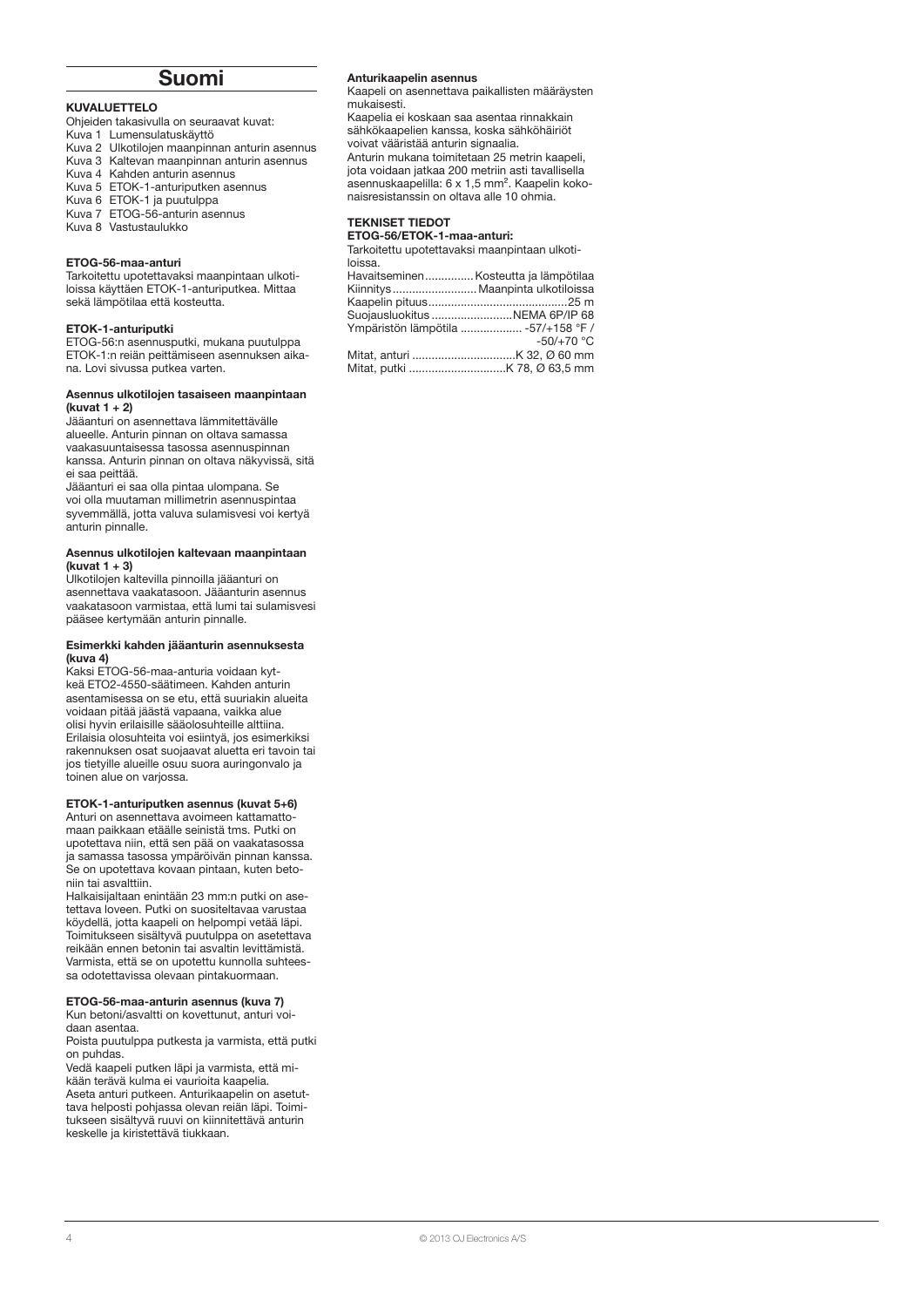# Suomi

#### KUVALUETTELO

Ohjeiden takasivulla on seuraavat kuvat:

- Kuva 1 Lumensulatuskäyttö
- Kuva 2 Ulkotilojen maanpinnan anturin asennus Kuva 3 Kaltevan maanpinnan anturin asennus
- Kuva 4 Kahden anturin asennus
- Kuva 5 ETOK-1-anturiputken asennus
- Kuva 6 ETOK-1 ja puutulppa
- Kuva 7 ETOG-56-anturin asennus
- Kuva 8 Vastustaulukko

#### ETOG-56-maa-anturi

Tarkoitettu upotettavaksi maanpintaan ulkotiloissa käyttäen ETOK-1-anturiputkea. Mittaa sekä lämpötilaa että kosteutta.

#### ETOK-1-anturiputki

ETOG-56:n asennusputki, mukana puutulppa ETOK-1:n reiän peittämiseen asennuksen aikana. Lovi sivussa putkea varten.

#### Asennus ulkotilojen tasaiseen maanpintaan (kuvat 1 + 2)

Jääanturi on asennettava lämmitettävälle alueelle. Anturin pinnan on oltava samassa vaakasuuntaisessa tasossa asennuspinnan kanssa. Anturin pinnan on oltava näkyvissä, sitä ei saa peittää.

Jääanturi ei saa olla pintaa ulompana. Se voi olla muutaman millimetrin asennuspintaa syvemmällä, jotta valuva sulamisvesi voi kertyä anturin pinnalle.

#### Asennus ulkotilojen kaltevaan maanpintaan (kuvat 1 + 3)

Ulkotilojen kaltevilla pinnoilla jääanturi on asennettava vaakatasoon. Jääanturin asennus vaakatasoon varmistaa, että lumi tai sulamisvesi pääsee kertymään anturin pinnalle.

#### Esimerkki kahden jääanturin asennuksesta (kuva 4)

Kaksi ETOG-56-maa-anturia voidaan kytkeä ETO2-4550-säätimeen. Kahden anturin asentamisessa on se etu, että suuriakin alueita voidaan pitää jäästä vapaana, vaikka alue olisi hyvin erilaisille sääolosuhteille alttiina. Erilaisia olosuhteita voi esiintyä, jos esimerkiksi rakennuksen osat suojaavat aluetta eri tavoin tai jos tietyille alueille osuu suora auringonvalo ja toinen alue on varjossa.

#### ETOK-1-anturiputken asennus (kuvat 5+6)

Anturi on asennettava avoimeen kattamattomaan paikkaan etäälle seinistä tms. Putki on upotettava niin, että sen pää on vaakatasossa ja samassa tasossa ympäröivän pinnan kanssa. Se on upotettava kovaan pintaan, kuten betoniin tai asvalttiin.

Halkaisijaltaan enintään 23 mm:n putki on asetettava loveen. Putki on suositeltavaa varustaa köydellä, jotta kaapeli on helpompi vetää läpi. Toimitukseen sisältyvä puutulppa on asetettava reikään ennen betonin tai asvaltin levittämistä. Varmista, että se on upotettu kunnolla suhteessa odotettavissa olevaan pintakuormaan.

### ETOG-56-maa-anturin asennus (kuva 7)

Kun betoni/asvaltti on kovettunut, anturi voidaan asentaa.

Poista puutulppa putkesta ja varmista, että putki on puhdas.

Vedä kaapeli putken läpi ja varmista, että mikään terävä kulma ei vaurioita kaapelia. Aseta anturi putkeen. Anturikaapelin on asetuttava helposti pohjassa olevan reiän läpi. Toimitukseen sisältyvä ruuvi on kiinnitettävä anturin keskelle ja kiristettävä tiukkaan.

#### Anturikaapelin asennus

Kaapeli on asennettava paikallisten määräysten mukaisesti.

Kaapelia ei koskaan saa asentaa rinnakkain sähkökaapelien kanssa, koska sähköhäiriöt voivat vääristää anturin signaalia. Anturin mukana toimitetaan 25 metrin kaapeli,

jota voidaan jatkaa 200 metriin asti tavallisella asennuskaapelilla: 6 x 1,5 mm². Kaapelin kokonaisresistanssin on oltava alle 10 ohmia.

#### Tekniset tiedot

#### ETOG-56/ETOK-1-maa-anturi:

Tarkoitettu upotettavaksi maanpintaan ulkotiloissa.

| Havaitseminen Kosteutta ja lämpötilaa |              |
|---------------------------------------|--------------|
| Kiinnitys  Maanpinta ulkotiloissa     |              |
|                                       |              |
| Suojausluokitus NEMA 6P/IP 68         |              |
| Ympäristön lämpötila  -57/+158 °F /   |              |
|                                       | $-50/+70 °C$ |
|                                       |              |
|                                       |              |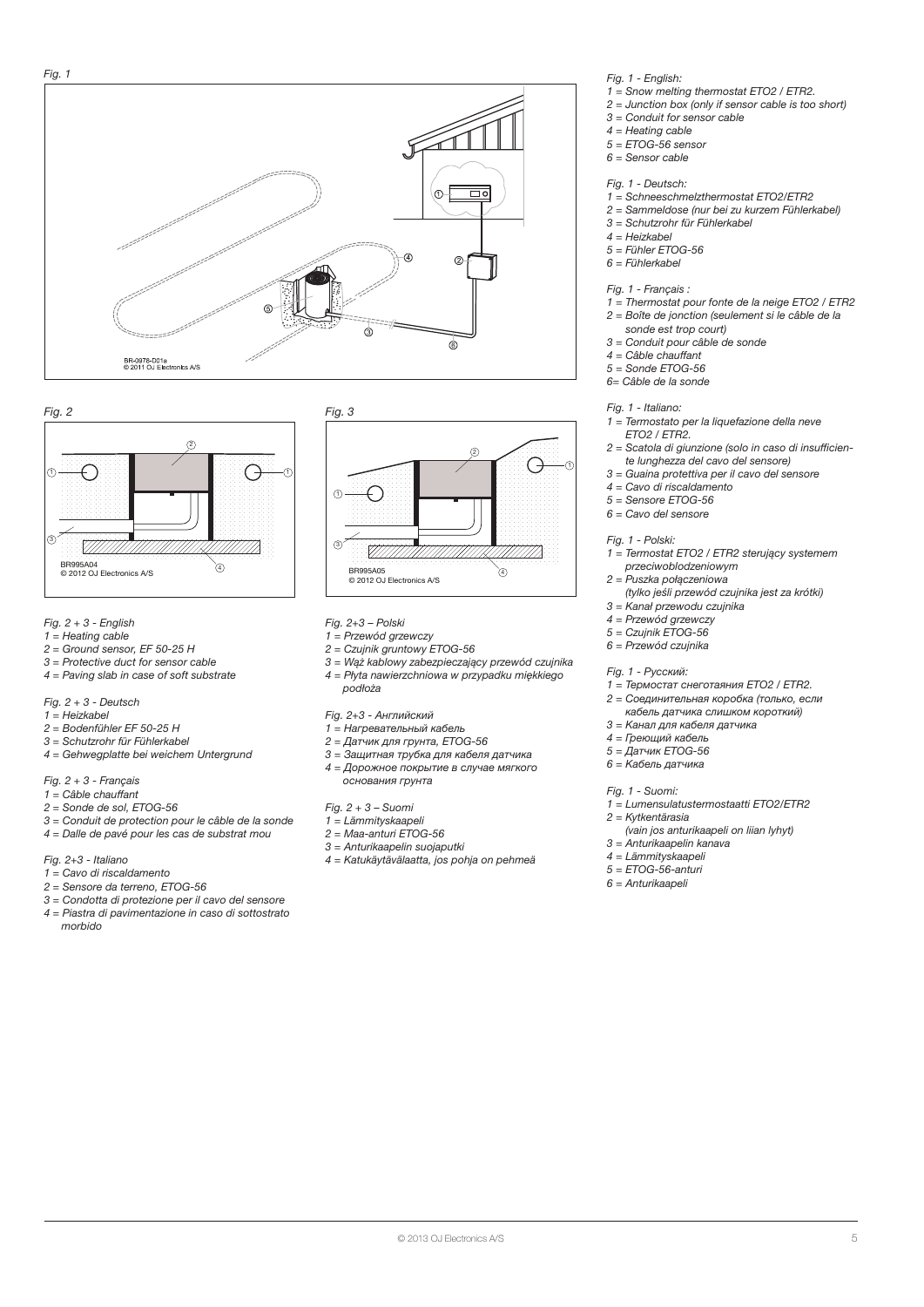



- *Fig. 2 + 3 English*
- *1 = Heating cable*
- *2 = Ground sensor, EF 50-25 H*
- *3 = Protective duct for sensor cable 4 = Paving slab in case of soft substrate*
- *Fig. 2 + 3 Deutsch*
- *1 = Heizkabel*
- *2 = Bodenfühler EF 50-25 H*
- *3 = Schutzrohr für Fühlerkabel*
- *4 = Gehwegplatte bei weichem Untergrund*
- *Fig. 2 + 3 Français*
- *1 = Câble chauffant*
- *2 = Sonde de sol, ETOG-56*
- *3 = Conduit de protection pour le câble de la sonde 4 = Dalle de pavé pour les cas de substrat mou*
- *Fig. 2+3 Italiano*
- *1 = Cavo di riscaldamento*
- *2 = Sensore da terreno, ETOG-56*
- *3 = Condotta di protezione per il cavo del sensore*
- *4 = Piastra di pavimentazione in caso di sottostrato morbido*



- *Fig. 2+3 Polski*
- *1 = Przewód grzewczy*
- *2 = Czujnik gruntowy ETOG-56*
- *3 = Wąż kablowy zabezpieczający przewód czujnika 4 = Płyta nawierzchniowa w przypadku miękkiego podłoża*

*Fig. 2+3 - Английский*

- *1 = Нагревательный кабель*
- *2 = Датчик для грунта, ETOG-56*
- *3 = Защитная трубка для кабеля датчика 4 = Дорожное покрытие в случае мягкого основания грунта*
- *Fig. 2 + 3 Suomi*
- *1 = Lämmityskaapeli*
- *2 = Maa-anturi ETOG-56*
- *3 = Anturikaapelin suojaputki*
- *4 = Katukäytävälaatta, jos pohja on pehmeä*
- *Fig. 1 English:*
- *1 = Snow melting thermostat ETO2 / ETR2.*
- *2 = Junction box (only if sensor cable is too short)*
- *3 = Conduit for sensor cable*
- *4 = Heating cable*
- *5 = ETOG-56 sensor 6 = Sensor cable*
- *Fig. 1 Deutsch:*
- *1 = Schneeschmelzthermostat ETO2/ETR2*
- *2 = Sammeldose (nur bei zu kurzem Fühlerkabel)*
- *3 = Schutzrohr für Fühlerkabel*
- *4 = Heizkabel*
- *5 = Fühler ETOG-56*
- *6 = Fühlerkabel*

*Fig. 1 - Français :*

- *1 = Thermostat pour fonte de la neige ETO2 / ETR2*
- *2 = Boîte de jonction (seulement si le câble de la*
- *sonde est trop court) 3 = Conduit pour câble de sonde*
- 
- *4 = Câble chauffant 5 = Sonde ETOG-56*
- *6= Câble de la sonde*
- *Fig. 1 Italiano:*
- *1 = Termostato per la liquefazione della neve*
- *ETO2 / ETR2.*
- *2 = Scatola di giunzione (solo in caso di insufficiente lunghezza del cavo del sensore)*
- *3 = Guaina protettiva per il cavo del sensore*
- *4 = Cavo di riscaldamento*
- *5 = Sensore ETOG-56*
- *6 = Cavo del sensore*

*Fig. 1 - Polski:*

- *1 = Termostat ETO2 / ETR2 sterujący systemem przeciwoblodzeniowym*
- *2 = Puszka połączeniowa (tylko jeśli przewód czujnika jest za krótki)*
- *3 = Kanał przewodu czujnika*
- *4 = Przewód grzewczy*
- *5 = Czujnik ETOG-56*
- *6 = Przewód czujnika*

*Fig. 1 - Русский:*

- *1 = Термостат снеготаяния ETO2 / ETR2.*
- *2 = Соединительная коробка (только, если*
- *кабель датчика слишком короткий) 3 = Канал для кабеля датчика*
- 
- *4 = Греющий кабель 5 = Датчик ETOG-56*
- *6 = Кабель датчика*
- 

*Fig. 1 - Suomi: 1 = Lumensulatustermostaatti ETO2/ETR2*

- *2 = Kytkentärasia*
- *(vain jos anturikaapeli on liian lyhyt)*
- *3 = Anturikaapelin kanava*
- *4 = Lämmityskaapeli*
- *5 = ETOG-56-anturi*
- *6 = Anturikaapeli*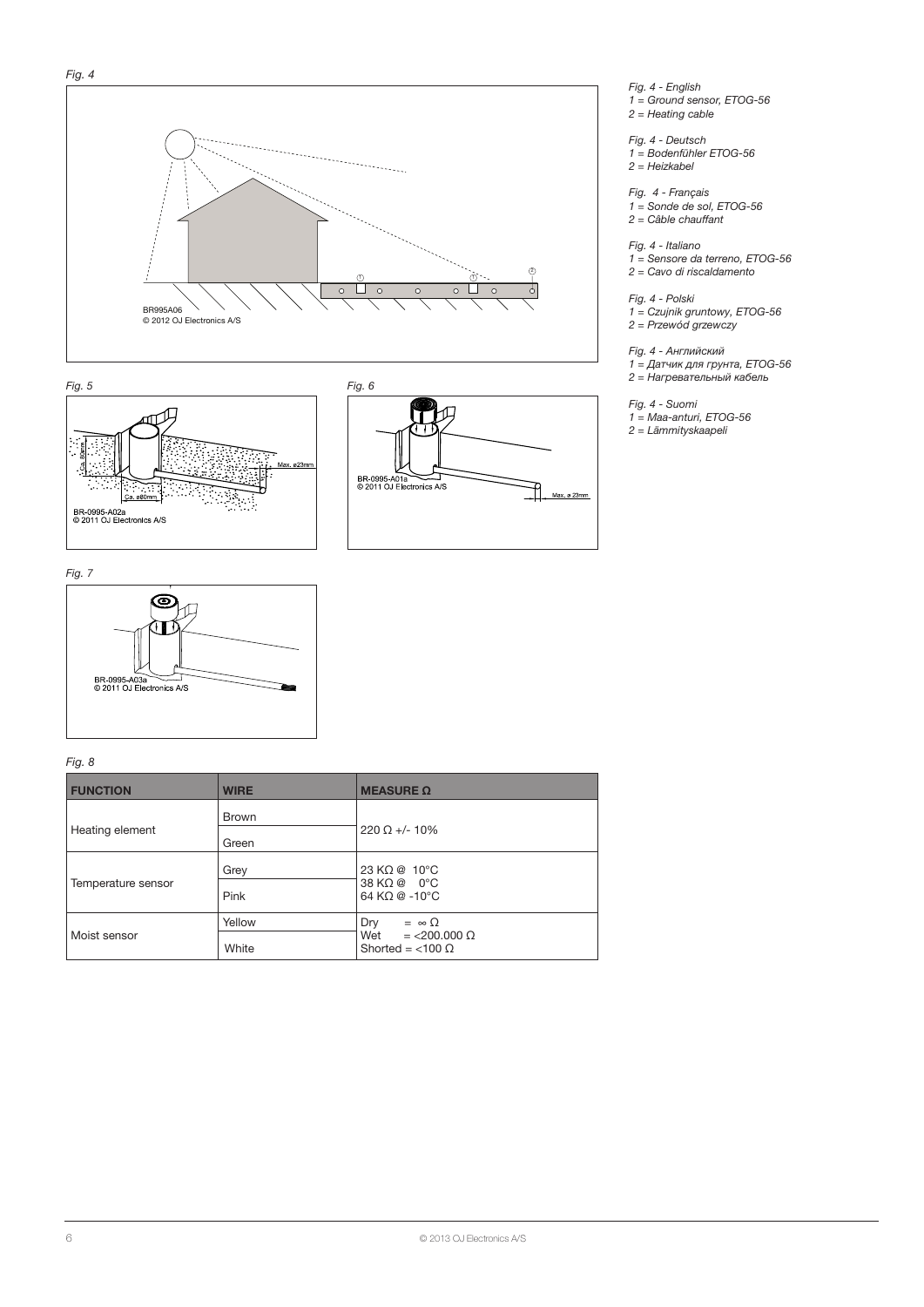







*Fig. 4 - English 1 = Ground sensor, ETOG-56 2 = Heating cable*

*Fig. 4 - Deutsch 1 = Bodenfühler ETOG-56 2 = Heizkabel*

*Fig. 4 - Français 1 = Sonde de sol, ETOG-56 2 = Câble chauffant*

*Fig. 4 - Italiano 1 = Sensore da terreno, ETOG-56 2 = Cavo di riscaldamento*

*Fig. 4 - Polski 1 = Czujnik gruntowy, ETOG-56 2 = Przewód grzewczy*

*Fig. 4 - Английский 1 = Датчик для грунта, ETOG-56 2 = Нагревательный кабель*

*Fig. 4 - Suomi 1 = Maa-anturi, ETOG-56 2 = Lämmityskaapeli*



*Fig. 8*

| <b>FUNCTION</b>    | <b>WIRE</b>           | <b>MEASURE <math>\Omega</math></b>                                              |
|--------------------|-----------------------|---------------------------------------------------------------------------------|
| Heating element    | <b>Brown</b><br>Green | $220 \Omega + 10\%$                                                             |
| Temperature sensor | Grey<br>Pink          | 23 KΩ @ 10°C<br>38 KΩ @ 0°C<br>64 KΩ @ -10°C                                    |
| Moist sensor       | Yellow<br>White       | Dry<br>$= \infty$ $\Omega$<br>Wet = $<$ 200.000 Ω<br>Shorted = $<$ 100 $\Omega$ |